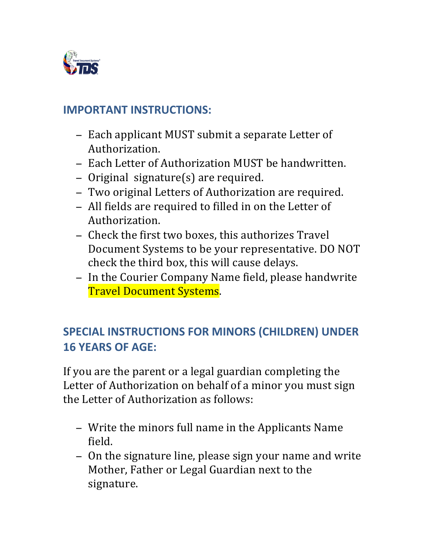

# **IMPORTANT INSTRUCTIONS:**

- − Each applicant MUST submit a separate Letter of Authorization.
- − Each Letter of Authorization MUST be handwritten.
- − Original signature(s) are required.
- Two original Letters of Authorization are required.
- − All fields are required to filled in on the Letter of Authorization.
- − Check the first two boxes, this authorizes Travel Document Systems to be your representative. DO NOT check the third box, this will cause delays.
- − In the Courier Company Name field, please handwrite **Travel Document Systems.**

# **SPECIAL INSTRUCTIONS FOR MINORS (CHILDREN) UNDER 16 YEARS OF AGE:**

If you are the parent or a legal guardian completing the Letter of Authorization on behalf of a minor you must sign the Letter of Authorization as follows:

- − Write the minors full name in the Applicants Name field.
- − On the signature line, please sign your name and write Mother, Father or Legal Guardian next to the signature.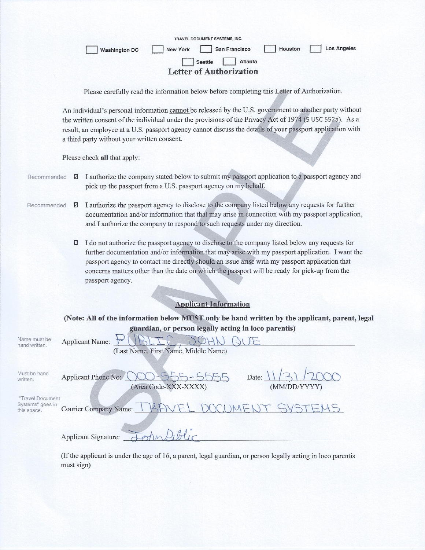| TRAVEL DOCUMENT SYSTEMS, INC.<br><b>Los Angeles</b><br>San Francisco<br>Houston<br><b>New York</b><br><b>Washington DC</b><br><b>Atlanta</b><br><b>Seattle</b><br><b>Letter of Authorization</b>                                                                                                                                                                                 |
|----------------------------------------------------------------------------------------------------------------------------------------------------------------------------------------------------------------------------------------------------------------------------------------------------------------------------------------------------------------------------------|
| Please carefully read the information below before completing this Letter of Authorization.                                                                                                                                                                                                                                                                                      |
| An individual's personal information cannot be released by the U.S. government to another party without<br>the written consent of the individual under the provisions of the Privacy Act of 1974 (5 USC 552a). As a<br>result, an employee at a U.S. passport agency cannot discuss the details of your passport application with<br>a third party without your written consent. |
| Please check all that apply:                                                                                                                                                                                                                                                                                                                                                     |
| I authorize the company stated below to submit my passport application to a passport agency and<br>ø<br>Recommended                                                                                                                                                                                                                                                              |

I authorize the passport agency to disclose to the company listed below any requests for further Recommended ☑ documentation and/or information that that may arise in connection with my passport application, and I authorize the company to respond to such requests under my direction.

pick up the passport from a U.S. passport agency on my behalf.

I do not authorize the passport agency to disclose to the company listed below any requests for further documentation and/or information that may arise with my passport application. I want the passport agency to contact me directly should an issue arise with my passport application that concerns matters other than the date on which the passport will be ready for pick-up from the passport agency.

### **Applicant Information**

#### (Note: All of the information below MUST only be hand written by the applicant, parent, legal guardian, or person legally acting in loco parentis)

| Name must be<br>hand written.        | <b>Applicant Name:</b>                                 |
|--------------------------------------|--------------------------------------------------------|
|                                      | (Last Name, First Name, Middle Name)                   |
|                                      |                                                        |
| Must be hand<br>written.             | 21/2000<br>Date:<br>Applicant Phone No:                |
|                                      | (Area Code-XXX-XXXX)<br>(MM/DD/YYYY)                   |
|                                      |                                                        |
| "Travel Document<br>Systems" goes in |                                                        |
| this space.                          | RAVEL DOCUMENT SYSTEMS<br><b>Courier Company Name:</b> |
|                                      |                                                        |
|                                      | <b>Applicant Signature:</b>                            |

(If the applicant is under the age of 16, a parent, legal guardian, or person legally acting in loco parentis must sign)